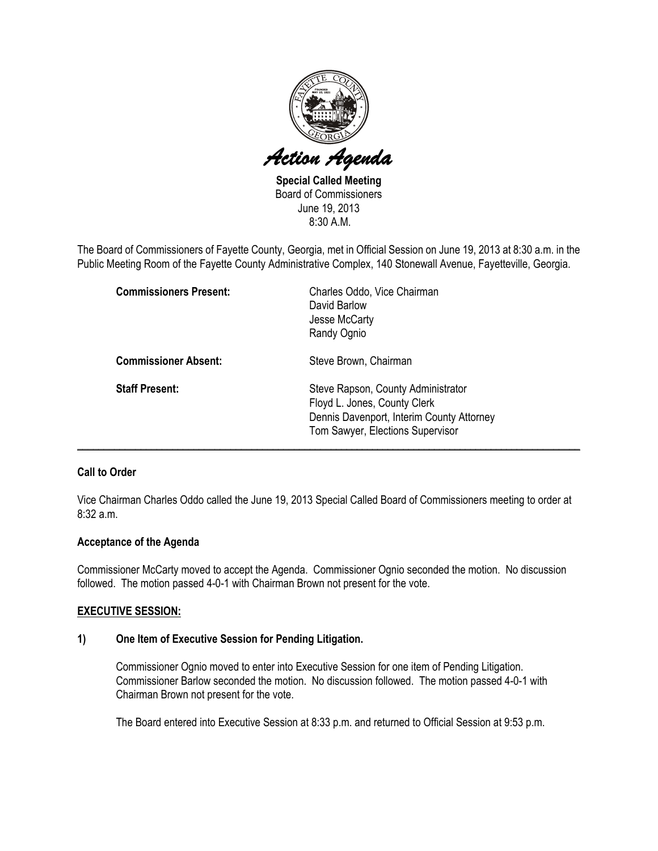

Special Called Meeting Board of Commissioners June 19, 2013 8:30 A.M.

The Board of Commissioners of Fayette County, Georgia, met in Official Session on June 19, 2013 at 8:30 a.m. in the Public Meeting Room of the Fayette County Administrative Complex, 140 Stonewall Avenue, Fayetteville, Georgia.

| <b>Commissioners Present:</b> | Charles Oddo, Vice Chairman<br>David Barlow<br>Jesse McCarty<br>Randy Ognio                                                                         |
|-------------------------------|-----------------------------------------------------------------------------------------------------------------------------------------------------|
| <b>Commissioner Absent:</b>   | Steve Brown, Chairman                                                                                                                               |
| <b>Staff Present:</b>         | Steve Rapson, County Administrator<br>Floyd L. Jones, County Clerk<br>Dennis Davenport, Interim County Attorney<br>Tom Sawyer, Elections Supervisor |

# Call to Order

Vice Chairman Charles Oddo called the June 19, 2013 Special Called Board of Commissioners meeting to order at 8:32 a.m.

## Acceptance of the Agenda

Commissioner McCarty moved to accept the Agenda. Commissioner Ognio seconded the motion. No discussion followed. The motion passed 4-0-1 with Chairman Brown not present for the vote.

## EXECUTIVE SESSION:

### 1) One Item of Executive Session for Pending Litigation.

Commissioner Ognio moved to enter into Executive Session for one item of Pending Litigation. Commissioner Barlow seconded the motion. No discussion followed. The motion passed 4-0-1 with Chairman Brown not present for the vote.

The Board entered into Executive Session at 8:33 p.m. and returned to Official Session at 9:53 p.m.